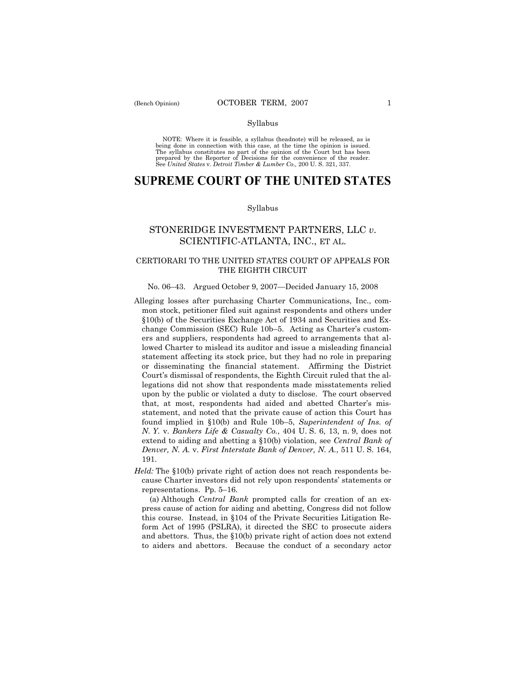#### Syllabus

NOTE: Where it is feasible, a syllabus (headnote) will be released, as is being done in connection with this case, at the time the opinion is issued. The syllabus constitutes no part of the opinion of the Court but has been<br>prepared by the Reporter of Decisions for the convenience of the reader.<br>See United States v. Detroit Timber & Lumber Co., 200 U. S. 321, 337.

# **SUPREME COURT OF THE UNITED STATES**

#### Syllabus

## STONERIDGE INVESTMENT PARTNERS, LLC *v*. SCIENTIFIC-ATLANTA, INC., ET AL.

## CERTIORARI TO THE UNITED STATES COURT OF APPEALS FOR THE EIGHTH CIRCUIT

### No. 06–43. Argued October 9, 2007—Decided January 15, 2008

- Alleging losses after purchasing Charter Communications, Inc., common stock, petitioner filed suit against respondents and others under §10(b) of the Securities Exchange Act of 1934 and Securities and Exchange Commission (SEC) Rule 10b–5. Acting as Charter's customers and suppliers, respondents had agreed to arrangements that allowed Charter to mislead its auditor and issue a misleading financial statement affecting its stock price, but they had no role in preparing or disseminating the financial statement. Affirming the District Court's dismissal of respondents, the Eighth Circuit ruled that the allegations did not show that respondents made misstatements relied upon by the public or violated a duty to disclose. The court observed that, at most, respondents had aided and abetted Charter's misstatement, and noted that the private cause of action this Court has found implied in §10(b) and Rule 10b–5, *Superintendent of Ins. of N. Y.* v. *Bankers Life & Casualty Co.*, 404 U. S. 6, 13, n. 9, does not extend to aiding and abetting a §10(b) violation, see *Central Bank of Denver, N. A.* v. *First Interstate Bank of Denver, N. A.*, 511 U. S. 164, 191.
- *Held:* The §10(b) private right of action does not reach respondents because Charter investors did not rely upon respondents' statements or representations. Pp. 5–16.

 (a) Although *Central Bank* prompted calls for creation of an express cause of action for aiding and abetting, Congress did not follow this course. Instead, in §104 of the Private Securities Litigation Reform Act of 1995 (PSLRA), it directed the SEC to prosecute aiders and abettors. Thus, the §10(b) private right of action does not extend to aiders and abettors. Because the conduct of a secondary actor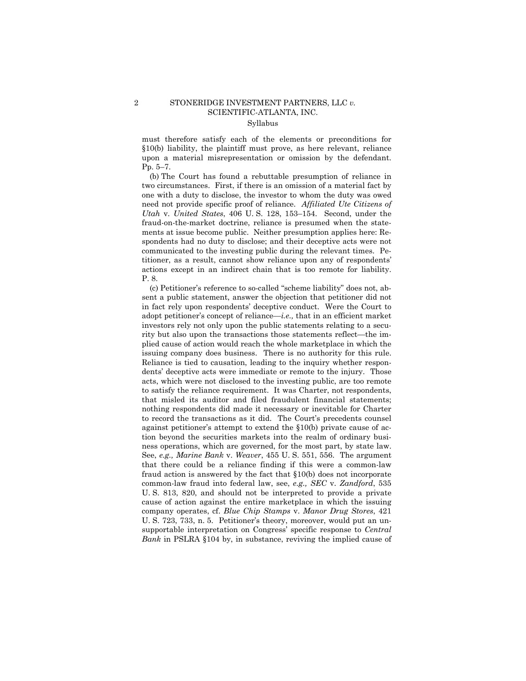## 2 STONERIDGE INVESTMENT PARTNERS, LLC *v.* SCIENTIFIC-ATLANTA, INC. Syllabus

must therefore satisfy each of the elements or preconditions for §10(b) liability, the plaintiff must prove, as here relevant, reliance upon a material misrepresentation or omission by the defendant. Pp. 5–7.

 (b) The Court has found a rebuttable presumption of reliance in two circumstances. First, if there is an omission of a material fact by one with a duty to disclose, the investor to whom the duty was owed need not provide specific proof of reliance. *Affiliated Ute Citizens of Utah* v. *United States*, 406 U. S. 128, 153–154. Second, under the fraud-on-the-market doctrine, reliance is presumed when the statements at issue become public. Neither presumption applies here: Respondents had no duty to disclose; and their deceptive acts were not communicated to the investing public during the relevant times. Petitioner, as a result, cannot show reliance upon any of respondents' actions except in an indirect chain that is too remote for liability. P. 8.

 (c) Petitioner's reference to so-called "scheme liability" does not, absent a public statement, answer the objection that petitioner did not in fact rely upon respondents' deceptive conduct. Were the Court to adopt petitioner's concept of reliance—*i.e.,* that in an efficient market investors rely not only upon the public statements relating to a security but also upon the transactions those statements reflect—the implied cause of action would reach the whole marketplace in which the issuing company does business. There is no authority for this rule. Reliance is tied to causation, leading to the inquiry whether respondents' deceptive acts were immediate or remote to the injury. Those acts, which were not disclosed to the investing public, are too remote to satisfy the reliance requirement. It was Charter, not respondents, that misled its auditor and filed fraudulent financial statements; nothing respondents did made it necessary or inevitable for Charter to record the transactions as it did. The Court's precedents counsel against petitioner's attempt to extend the §10(b) private cause of action beyond the securities markets into the realm of ordinary business operations, which are governed, for the most part, by state law. See, *e.g., Marine Bank* v. *Weaver*, 455 U. S. 551, 556. The argument that there could be a reliance finding if this were a common-law fraud action is answered by the fact that §10(b) does not incorporate common-law fraud into federal law, see, *e.g., SEC* v. *Zandford*, 535 U. S. 813, 820, and should not be interpreted to provide a private cause of action against the entire marketplace in which the issuing company operates, cf. *Blue Chip Stamps* v. *Manor Drug Stores*, 421 U. S. 723, 733, n. 5. Petitioner's theory, moreover, would put an unsupportable interpretation on Congress' specific response to *Central Bank* in PSLRA §104 by, in substance, reviving the implied cause of